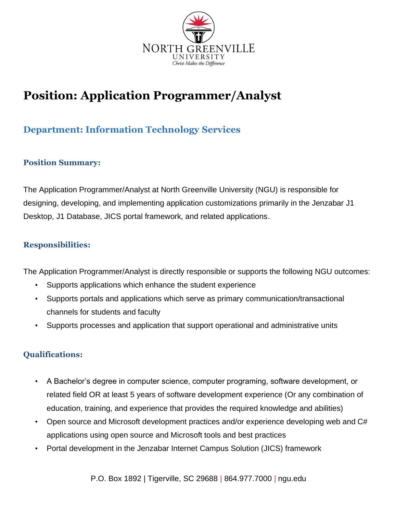

# **Position: Application Programmer/Analyst**

## **Department: Information Technology Services**

#### **Position Summary:**

The Application Programmer/Analyst at North Greenville University (NGU) is responsible for designing, developing, and implementing application customizations primarily in the Jenzabar J1 Desktop, J1 Database, JICS portal framework, and related applications.

#### **Responsibilities:**

The Application Programmer/Analyst is directly responsible or supports the following NGU outcomes:

- Supports applications which enhance the student experience
- Supports portals and applications which serve as primary communication/transactional channels for students and faculty
- Supports processes and application that support operational and administrative units

### **Qualifications:**

- A Bachelor's degree in computer science, computer programing, software development, or related field OR at least 5 years of software development experience (Or any combination of education, training, and experience that provides the required knowledge and abilities)
- Open source and Microsoft development practices and/or experience developing web and C# applications using open source and Microsoft tools and best practices
- Portal development in the Jenzabar Internet Campus Solution (JICS) framework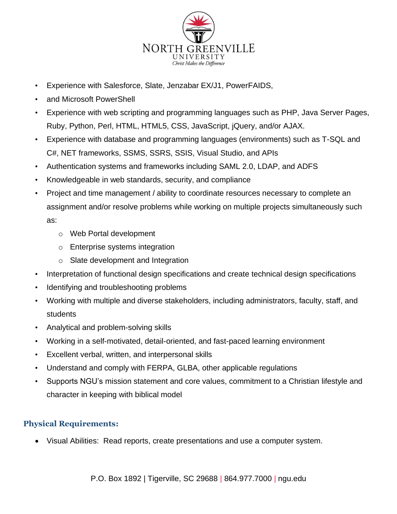

- Experience with Salesforce, Slate, Jenzabar EX/J1, PowerFAIDS,
- and Microsoft PowerShell
- Experience with web scripting and programming languages such as PHP, Java Server Pages, Ruby, Python, Perl, HTML, HTML5, CSS, JavaScript, jQuery, and/or AJAX.
- Experience with database and programming languages (environments) such as T-SQL and C#, NET frameworks, SSMS, SSRS, SSIS, Visual Studio, and APIs
- Authentication systems and frameworks including SAML 2.0, LDAP, and ADFS
- Knowledgeable in web standards, security, and compliance
- Project and time management / ability to coordinate resources necessary to complete an assignment and/or resolve problems while working on multiple projects simultaneously such as:
	- o Web Portal development
	- o Enterprise systems integration
	- o Slate development and Integration
- Interpretation of functional design specifications and create technical design specifications
- Identifying and troubleshooting problems
- Working with multiple and diverse stakeholders, including administrators, faculty, staff, and students
- Analytical and problem-solving skills
- Working in a self-motivated, detail-oriented, and fast-paced learning environment
- Excellent verbal, written, and interpersonal skills
- Understand and comply with FERPA, GLBA, other applicable regulations
- Supports NGU's mission statement and core values, commitment to a Christian lifestyle and character in keeping with biblical model

### **Physical Requirements:**

• Visual Abilities: Read reports, create presentations and use a computer system.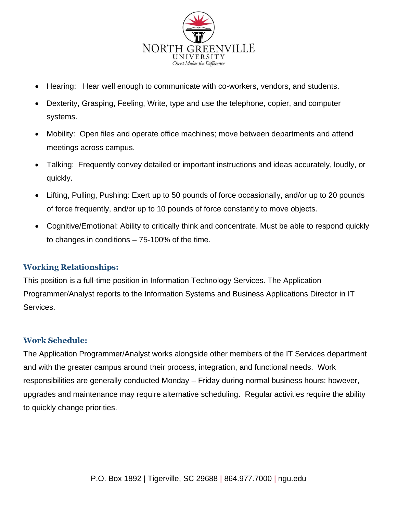

- Hearing: Hear well enough to communicate with co-workers, vendors, and students.
- Dexterity, Grasping, Feeling, Write, type and use the telephone, copier, and computer systems.
- Mobility: Open files and operate office machines; move between departments and attend meetings across campus.
- Talking: Frequently convey detailed or important instructions and ideas accurately, loudly, or quickly.
- Lifting, Pulling, Pushing: Exert up to 50 pounds of force occasionally, and/or up to 20 pounds of force frequently, and/or up to 10 pounds of force constantly to move objects.
- Cognitive/Emotional: Ability to critically think and concentrate. Must be able to respond quickly to changes in conditions – 75‐100% of the time.

### **Working Relationships:**

This position is a full-time position in Information Technology Services. The Application Programmer/Analyst reports to the Information Systems and Business Applications Director in IT Services.

#### **Work Schedule:**

The Application Programmer/Analyst works alongside other members of the IT Services department and with the greater campus around their process, integration, and functional needs. Work responsibilities are generally conducted Monday – Friday during normal business hours; however, upgrades and maintenance may require alternative scheduling. Regular activities require the ability to quickly change priorities.